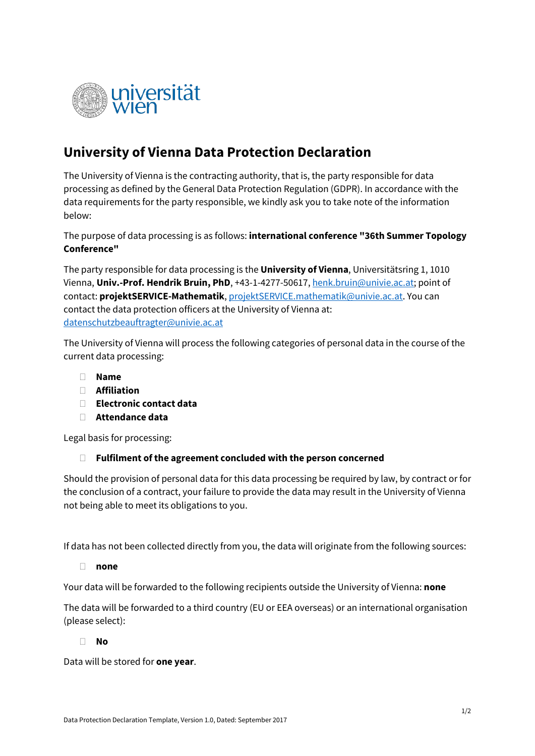

## **University of Vienna Data Protection Declaration**

The University of Vienna is the contracting authority, that is, the party responsible for data processing as defined by the General Data Protection Regulation (GDPR). In accordance with the data requirements for the party responsible, we kindly ask you to take note of the information below:

The purpose of data processing is as follows: **international conference "36th Summer Topology Conference"**

The party responsible for data processing is the **University of Vienna**, Universitätsring 1, 1010 Vienna, **Univ.-Prof. Hendrik Bruin, PhD**, +43-1-4277-50617[, henk.bruin@univie.ac.at;](mailto:henk.bruin@univie.ac.at) point of contact: **projektSERVICE-Mathematik**, [projektSERVICE.mathematik@univie.ac.at.](mailto:projektSERVICE.mathematik@univie.ac.at) You can contact the data protection officers at the University of Vienna at: [datenschutzbeauftragter@univie.ac.at](mailto:datenschutzbeauftragter@univie.ac.at)

The University of Vienna will process the following categories of personal data in the course of the current data processing:

- **Name**
- **Affiliation**
- **Electronic contact data**
- **Attendance data**

Legal basis for processing:

## **Fulfilment of the agreement concluded with the person concerned**

Should the provision of personal data for this data processing be required by law, by contract or for the conclusion of a contract, your failure to provide the data may result in the University of Vienna not being able to meet its obligations to you.

If data has not been collected directly from you, the data will originate from the following sources:

**none**

Your data will be forwarded to the following recipients outside the University of Vienna: **none**

The data will be forwarded to a third country (EU or EEA overseas) or an international organisation (please select):

## **No**

Data will be stored for **one year**.